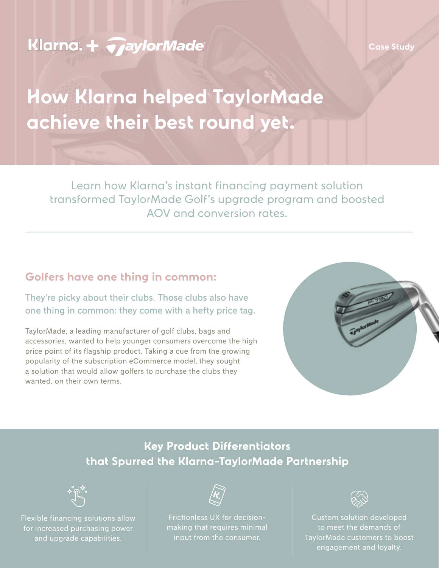# **Klarna. + TaylorMade**

# **How Klarna helped TaylorMade achieve their best round yet.**

Learn how Klarna's instant financing payment solution transformed TaylorMade Golf's upgrade program and boosted AOV and conversion rates.

#### **Golfers have one thing in common:**

They're picky about their clubs. Those clubs also have one thing in common: they come with a hefty price tag.

TaylorMade, a leading manufacturer of golf clubs, bags and accessories, wanted to help younger consumers overcome the high price point of its flagship product. Taking a cue from the growing popularity of the subscription eCommerce model, they sought a solution that would allow golfers to purchase the clubs they wanted, on their own terms.



## **Key Product Differentiators that Spurred the Klarna-TaylorMade Partnership**



Flexible financing solutions allow for increased purchasing power and upgrade capabilities.



Frictionless UX for decisionmaking that requires minimal input from the consumer.



Custom solution developed to meet the demands of TaylorMade customers to boost engagement and loyalty.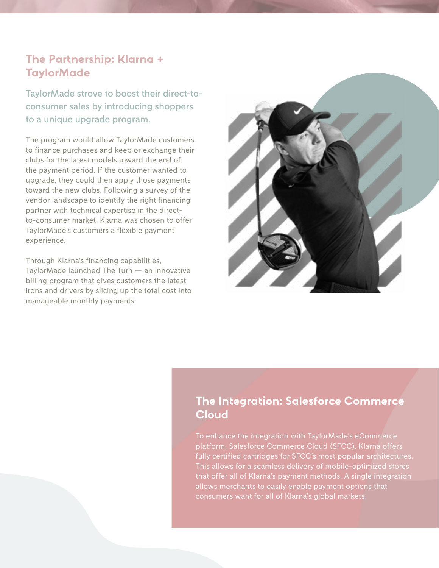#### **The Partnership: Klarna + TaylorMade**

TaylorMade strove to boost their direct-toconsumer sales by introducing shoppers to a unique upgrade program.

The program would allow TaylorMade customers to finance purchases and keep or exchange their clubs for the latest models toward the end of the payment period. If the customer wanted to upgrade, they could then apply those payments toward the new clubs. Following a survey of the vendor landscape to identify the right financing partner with technical expertise in the directto-consumer market, Klarna was chosen to offer TaylorMade's customers a flexible payment experience.

Through Klarna's financing capabilities, TaylorMade launched The Turn — an innovative billing program that gives customers the latest irons and drivers by slicing up the total cost into manageable monthly payments.



#### **The Integration: Salesforce Commerce Cloud**

To enhance the integration with TaylorMade's eCommerce platform, Salesforce Commerce Cloud (SFCC), Klarna offers fully certified cartridges for SFCC's most popular architectures. This allows for a seamless delivery of mobile-optimized stores that offer all of Klarna's payment methods. A single integration allows merchants to easily enable payment options that consumers want for all of Klarna's global markets.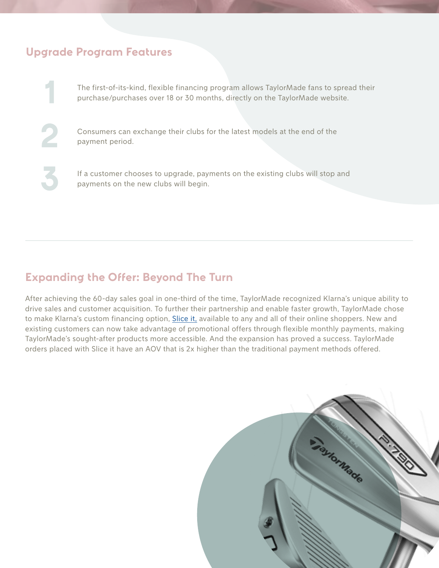#### **Upgrade Program Features**

The first-of-its-kind, flexible financing program allows TaylorMade fans to spread their purchase/purchases over 18 or 30 months, directly on the TaylorMade website.

Consumers can exchange their clubs for the latest models at the end of the payment period.

If a customer chooses to upgrade, payments on the existing clubs will stop and payments on the new clubs will begin.

#### **Expanding the Offer: Beyond The Turn**

After achieving the 60-day sales goal in one-third of the time, TaylorMade recognized Klarna's unique ability to drive sales and customer acquisition. To further their partnership and enable faster growth, TaylorMade chose to make Klarna's custom financing option, [Slice it,](https://www.klarna.com/us/business/products/slice-it/) available to any and all of their online shoppers. New and existing customers can now take advantage of promotional offers through flexible monthly payments, making TaylorMade's sought-after products more accessible. And the expansion has proved a success. TaylorMade orders placed with Slice it have an AOV that is 2x higher than the traditional payment methods offered.

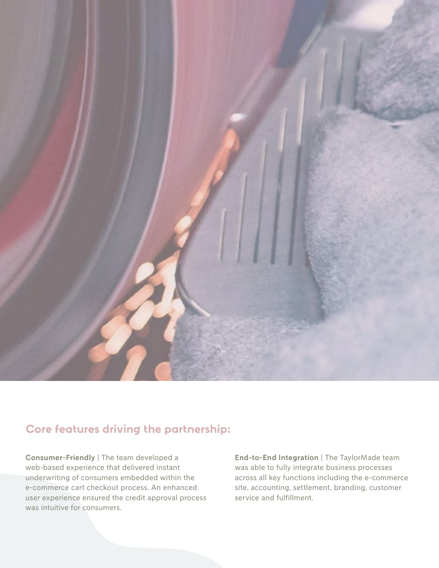

## **Core features driving the partnership:**

**Consumer-Friendly** | The team developed a web-based experience that delivered instant underwriting of consumers embedded within the e-commerce cart checkout process. An enhanced user experience ensured the credit approval process was intuitive for consumers.

**End-to-End Integration** | The TaylorMade team was able to fully integrate business processes across all key functions including the e-commerce site, accounting, settlement, branding, customer service and fulfillment.